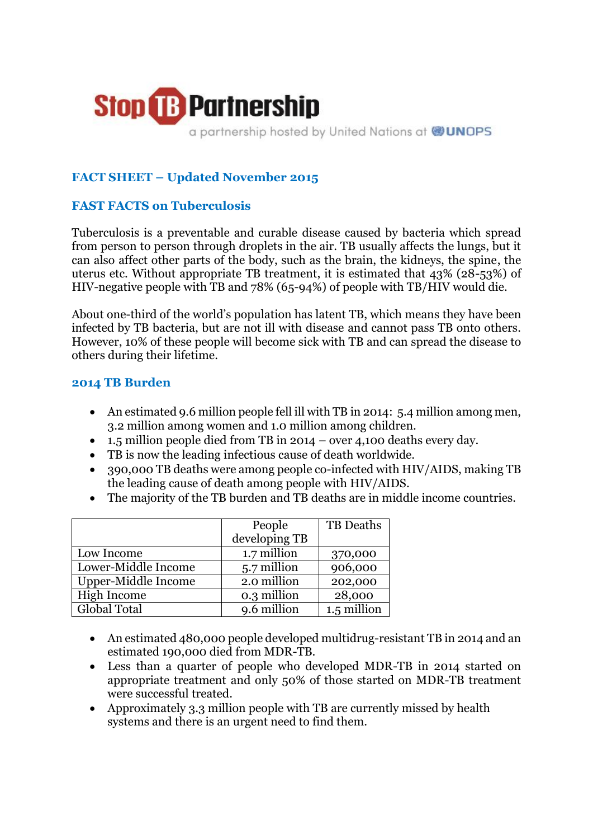

a partnership hosted by United Nations at @UNOPS

# **FACT SHEET – Updated November 2015**

#### **FAST FACTS on Tuberculosis**

Tuberculosis is a preventable and curable disease caused by bacteria which spread from person to person through droplets in the air. TB usually affects the lungs, but it can also affect other parts of the body, such as the brain, the kidneys, the spine, the uterus etc. Without appropriate TB treatment, it is estimated that 43% (28-53%) of HIV-negative people with TB and 78% (65-94%) of people with TB/HIV would die.

About one-third of the world's population has latent TB, which means they have been infected by TB bacteria, but are not ill with disease and cannot pass TB onto others. However, 10% of these people will become sick with TB and can spread the disease to others during their lifetime.

#### **2014 TB Burden**

- An estimated 9.6 million people fell ill with TB in 2014: 5.4 million among men, 3.2 million among women and 1.0 million among children.
- 1.5 million people died from TB in 2014 over 4,100 deaths every day.
- TB is now the leading infectious cause of death worldwide.
- 390,000 TB deaths were among people co-infected with HIV/AIDS, making TB the leading cause of death among people with HIV/AIDS.
- The majority of the TB burden and TB deaths are in middle income countries.

|                     | People        | TB Deaths   |
|---------------------|---------------|-------------|
|                     | developing TB |             |
| Low Income          | 1.7 million   | 370,000     |
| Lower-Middle Income | 5.7 million   | 906,000     |
| Upper-Middle Income | 2.0 million   | 202,000     |
| High Income         | 0.3 million   | 28,000      |
| Global Total        | 9.6 million   | 1.5 million |

- An estimated 480,000 people developed multidrug-resistant TB in 2014 and an estimated 190,000 died from MDR-TB.
- Less than a quarter of people who developed MDR-TB in 2014 started on appropriate treatment and only 50% of those started on MDR-TB treatment were successful treated.
- Approximately 3.3 million people with TB are currently missed by health systems and there is an urgent need to find them.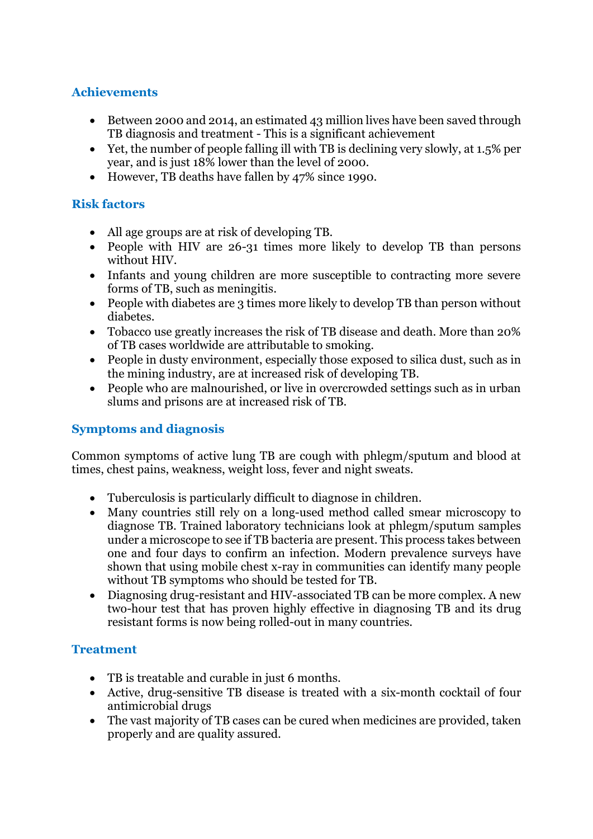## **Achievements**

- Between 2000 and 2014, an estimated 43 million lives have been saved through TB diagnosis and treatment - This is a significant achievement
- Yet, the number of people falling ill with TB is declining very slowly, at 1.5% per year, and is just 18% lower than the level of 2000.
- However, TB deaths have fallen by 47% since 1990.

# **Risk factors**

- All age groups are at risk of developing TB.
- People with HIV are 26-31 times more likely to develop TB than persons without HIV.
- Infants and young children are more susceptible to contracting more severe forms of TB, such as meningitis.
- People with diabetes are 3 times more likely to develop TB than person without diabetes.
- Tobacco use greatly increases the risk of TB disease and death. More than 20% of TB cases worldwide are attributable to smoking.
- People in dusty environment, especially those exposed to silica dust, such as in the mining industry, are at increased risk of developing TB.
- People who are malnourished, or live in overcrowded settings such as in urban slums and prisons are at increased risk of TB.

## **Symptoms and diagnosis**

Common symptoms of active lung TB are cough with phlegm/sputum and blood at times, chest pains, weakness, weight loss, fever and night sweats.

- Tuberculosis is particularly difficult to diagnose in children.
- Many countries still rely on a long-used method called smear microscopy to diagnose TB. Trained laboratory technicians look at phlegm/sputum samples under a microscope to see if TB bacteria are present. This process takes between one and four days to confirm an infection. Modern prevalence surveys have shown that using mobile chest x-ray in communities can identify many people without TB symptoms who should be tested for TB.
- Diagnosing drug-resistant and HIV-associated TB can be more complex. A new two-hour test that has proven highly effective in diagnosing TB and its drug resistant forms is now being rolled-out in many countries.

## **Treatment**

- TB is treatable and curable in just 6 months.
- Active, drug-sensitive TB disease is treated with a six-month cocktail of four antimicrobial drugs
- The vast majority of TB cases can be cured when medicines are provided, taken properly and are quality assured.